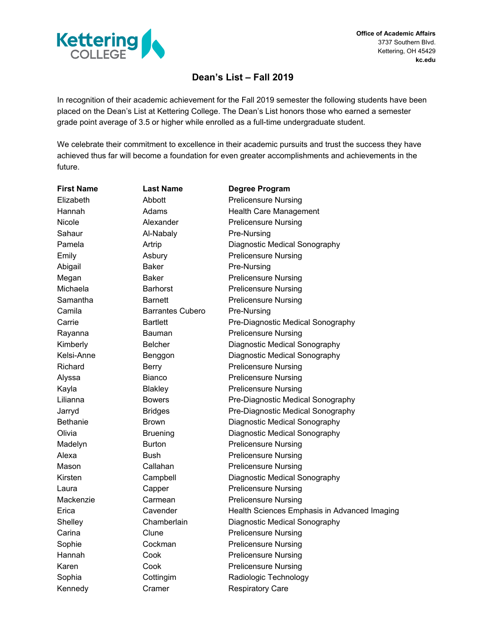

**Office of Academic Affairs** 3737 Southern Blvd. Kettering, OH 45429 **kc.edu**

# **Dean's List – Fall 2019**

In recognition of their academic achievement for the Fall 2019 semester the following students have been placed on the Dean's List at Kettering College. The Dean's List honors those who earned a semester grade point average of 3.5 or higher while enrolled as a full-time undergraduate student.

We celebrate their commitment to excellence in their academic pursuits and trust the success they have achieved thus far will become a foundation for even greater accomplishments and achievements in the future.

| <b>First Name</b> | <b>Last Name</b>        | <b>Degree Program</b>                        |
|-------------------|-------------------------|----------------------------------------------|
| Elizabeth         | Abbott                  | <b>Prelicensure Nursing</b>                  |
| Hannah            | Adams                   | Health Care Management                       |
| Nicole            | Alexander               | <b>Prelicensure Nursing</b>                  |
| Sahaur            | Al-Nabaly               | Pre-Nursing                                  |
| Pamela            | Artrip                  | Diagnostic Medical Sonography                |
| Emily             | Asbury                  | <b>Prelicensure Nursing</b>                  |
| Abigail           | <b>Baker</b>            | Pre-Nursing                                  |
| Megan             | Baker                   | <b>Prelicensure Nursing</b>                  |
| Michaela          | <b>Barhorst</b>         | <b>Prelicensure Nursing</b>                  |
| Samantha          | <b>Barnett</b>          | <b>Prelicensure Nursing</b>                  |
| Camila            | <b>Barrantes Cubero</b> | Pre-Nursing                                  |
| Carrie            | <b>Bartlett</b>         | Pre-Diagnostic Medical Sonography            |
| Rayanna           | Bauman                  | <b>Prelicensure Nursing</b>                  |
| Kimberly          | <b>Belcher</b>          | Diagnostic Medical Sonography                |
| Kelsi-Anne        | Benggon                 | Diagnostic Medical Sonography                |
| Richard           | Berry                   | <b>Prelicensure Nursing</b>                  |
| Alyssa            | Bianco                  | <b>Prelicensure Nursing</b>                  |
| Kayla             | <b>Blakley</b>          | <b>Prelicensure Nursing</b>                  |
| Lilianna          | <b>Bowers</b>           | Pre-Diagnostic Medical Sonography            |
| Jarryd            | <b>Bridges</b>          | Pre-Diagnostic Medical Sonography            |
| <b>Bethanie</b>   | <b>Brown</b>            | Diagnostic Medical Sonography                |
| Olivia            | <b>Bruening</b>         | Diagnostic Medical Sonography                |
| Madelyn           | <b>Burton</b>           | <b>Prelicensure Nursing</b>                  |
| Alexa             | <b>Bush</b>             | <b>Prelicensure Nursing</b>                  |
| Mason             | Callahan                | <b>Prelicensure Nursing</b>                  |
| Kirsten           | Campbell                | Diagnostic Medical Sonography                |
| Laura             | Capper                  | <b>Prelicensure Nursing</b>                  |
| Mackenzie         | Carmean                 | <b>Prelicensure Nursing</b>                  |
| Erica             | Cavender                | Health Sciences Emphasis in Advanced Imaging |
| Shelley           | Chamberlain             | Diagnostic Medical Sonography                |
| Carina            | Clune                   | <b>Prelicensure Nursing</b>                  |
| Sophie            | Cockman                 | <b>Prelicensure Nursing</b>                  |
| Hannah            | Cook                    | <b>Prelicensure Nursing</b>                  |
| Karen             | Cook                    | <b>Prelicensure Nursing</b>                  |
| Sophia            | Cottingim               | Radiologic Technology                        |
| Kennedy           | Cramer                  | <b>Respiratory Care</b>                      |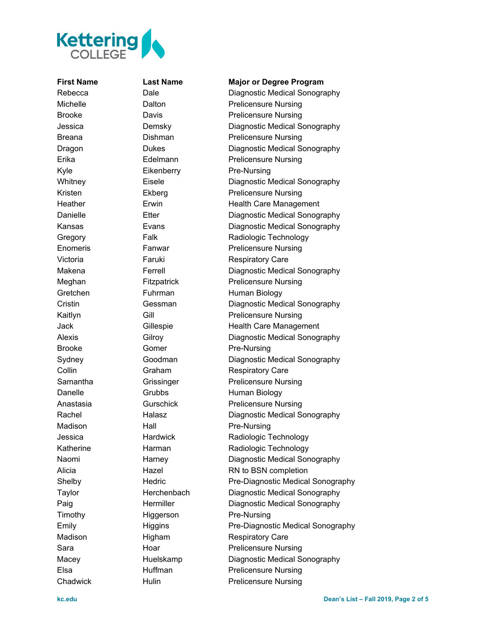

## **First Name Last Name Major or Degree Program**

Rebecca Dale Diagnostic Medical Sonography Michelle **Dalton** Dalton **Prelicensure Nursing** Brooke **Davis** Davis **Prelicensure Nursing** Jessica Demsky Diagnostic Medical Sonography Breana **Dishman** Dishman **Prelicensure Nursing** Dragon Dukes Diagnostic Medical Sonography Erika Edelmann Prelicensure Nursing Kyle Eikenberry Pre-Nursing Whitney **Eisele** Eisele **Diagnostic Medical Sonography** Kristen Ekberg **Experience Prelicensure Nursing** Heather Erwin Erwin Health Care Management Danielle Etter Diagnostic Medical Sonography Kansas Evans Diagnostic Medical Sonography Gregory Falk Radiologic Technology Enomeris Fanwar Prelicensure Nursing Victoria **Faruki** Faruki Respiratory Care Makena **Ferrell** Ferrell **Diagnostic Medical Sonography** Meghan Fitzpatrick Prelicensure Nursing Gretchen Fuhrman Human Biology Cristin Gessman Diagnostic Medical Sonography Kaitlyn Gill Gill Prelicensure Nursing Jack Gillespie Health Care Management Alexis Gilroy Gilroy Diagnostic Medical Sonography Brooke Gomer Pre-Nursing Sydney Goodman Diagnostic Medical Sonography Collin Graham Respiratory Care Samantha **Grissinger** Prelicensure Nursing Danelle Grubbs Human Biology Anastasia Gurschick Prelicensure Nursing Rachel **Halasz** Halasz Diagnostic Medical Sonography Madison Hall Pre-Nursing Jessica Hardwick Radiologic Technology Katherine Harman Radiologic Technology Naomi Harney Diagnostic Medical Sonography Alicia Hazel Hazel RN to BSN completion Shelby **Hedric** Pre-Diagnostic Medical Sonography Taylor Herchenbach Diagnostic Medical Sonography Paig **Hermiller** Diagnostic Medical Sonography Timothy Higgerson Pre-Nursing Emily **Emily** Higgins Pre-Diagnostic Medical Sonography Madison Higham Respiratory Care Sara **Hoar** Hoar Prelicensure Nursing Macey Huelskamp Diagnostic Medical Sonography Elsa Huffman Prelicensure Nursing Chadwick Hulin Prelicensure Nursing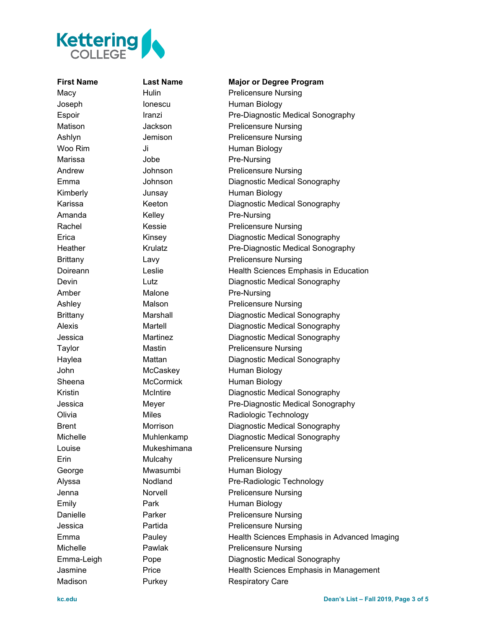

Madison **Purkey Respiratory Care** 

## **First Name Last Name Major or Degree Program** Macy **Hulin** Hulin Prelicensure Nursing Joseph Ionescu Human Biology Espoir **Iranzi Iranzi** Pre-Diagnostic Medical Sonography Matison **Jackson Prelicensure Nursing** Ashlyn Jemison Prelicensure Nursing Woo Rim Ji Ji Human Biology Marissa Jobe **Pre-Nursing** Andrew **Johnson** Prelicensure Nursing Emma Johnson Diagnostic Medical Sonography Kimberly **Junsay** Human Biology Karissa Keeton Diagnostic Medical Sonography Amanda **Kelley Pre-Nursing** Rachel Kessie Prelicensure Nursing Erica Kinsey Chagnostic Medical Sonography Heather Krulatz Pre-Diagnostic Medical Sonography Brittany Lavy Lavy Prelicensure Nursing Doireann Leslie Health Sciences Emphasis in Education Devin Lutz Diagnostic Medical Sonography Amber Malone Pre-Nursing Ashley Malson Malson Prelicensure Nursing Brittany Marshall Diagnostic Medical Sonography Alexis Martell Diagnostic Medical Sonography Jessica Martinez Diagnostic Medical Sonography Taylor **Mastin** Mastin **Prelicensure Nursing** Haylea Mattan Mattan Diagnostic Medical Sonography John McCaskey Human Biology Sheena McCormick Human Biology Kristin McIntire Diagnostic Medical Sonography Jessica Meyer Pre-Diagnostic Medical Sonography Olivia Miles Miles Radiologic Technology Brent Morrison Diagnostic Medical Sonography Michelle Muhlenkamp Diagnostic Medical Sonography Louise Mukeshimana Prelicensure Nursing Erin Mulcahy Prelicensure Nursing George Mwasumbi Human Biology Alyssa Nodland Pre-Radiologic Technology Jenna Norvell Prelicensure Nursing Emily **Park** Park Human Biology Danielle Parker Prelicensure Nursing Jessica Partida Prelicensure Nursing Emma Pauley Health Sciences Emphasis in Advanced Imaging Michelle Pawlak Prelicensure Nursing Emma-Leigh Pope Diagnostic Medical Sonography Jasmine Price Health Sciences Emphasis in Management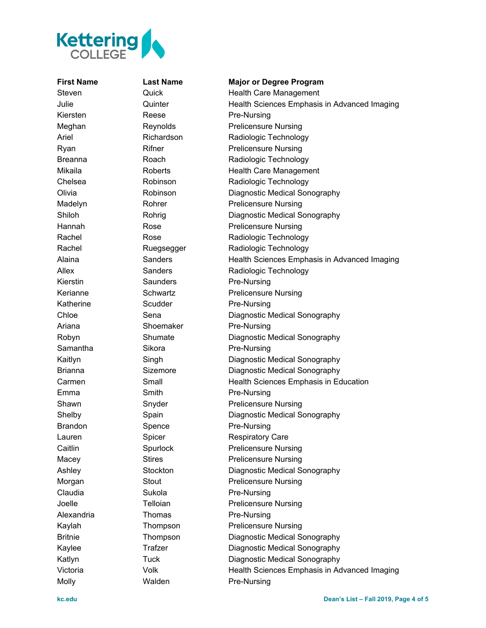

Kiersten Reese Pre-Nursing Kierstin Saunders Pre-Nursing Katherine Scudder Pre-Nursing Ariana Shoemaker Pre-Nursing Samantha Sikora Pre-Nursing Emma Smith Smith Pre-Nursing Brandon Spence Pre-Nursing Claudia **Sukola Pre-Nursing** Alexandria Thomas Pre-Nursing

Molly Malden Pre-Nursing

# **First Name Last Name Major or Degree Program** Steven **Cuick Guick** Health Care Management Julie Quinter Health Sciences Emphasis in Advanced Imaging Meghan Reynolds Prelicensure Nursing Ariel Richardson Radiologic Technology Ryan Rifner Prelicensure Nursing Breanna **Roach** Roach Radiologic Technology Mikaila Roberts Health Care Management Chelsea **Robinson** Radiologic Technology Olivia Robinson Diagnostic Medical Sonography Madelyn Rohrer Prelicensure Nursing Shiloh Rohrig Diagnostic Medical Sonography Hannah Rose Rose Prelicensure Nursing Rachel Rose Radiologic Technology Rachel Ruegsegger Radiologic Technology Alaina Sanders Health Sciences Emphasis in Advanced Imaging Allex Sanders Radiologic Technology Kerianne Schwartz Prelicensure Nursing Chloe Sena Sena Diagnostic Medical Sonography Robyn Shumate Diagnostic Medical Sonography Kaitlyn Singh Diagnostic Medical Sonography Brianna Sizemore Diagnostic Medical Sonography Carmen Small Small Health Sciences Emphasis in Education Shawn Snyder Prelicensure Nursing Shelby Spain Diagnostic Medical Sonography Lauren **Spicer** Spicer Respiratory Care Caitlin Spurlock Prelicensure Nursing Macey Stires Prelicensure Nursing Ashley Stockton Diagnostic Medical Sonography Morgan Stout Stout Prelicensure Nursing Joelle Telloian Prelicensure Nursing Kaylah Thompson Prelicensure Nursing Britnie Thompson Diagnostic Medical Sonography Kaylee Trafzer Diagnostic Medical Sonography Katlyn Tuck Diagnostic Medical Sonography Victoria Volk Health Sciences Emphasis in Advanced Imaging